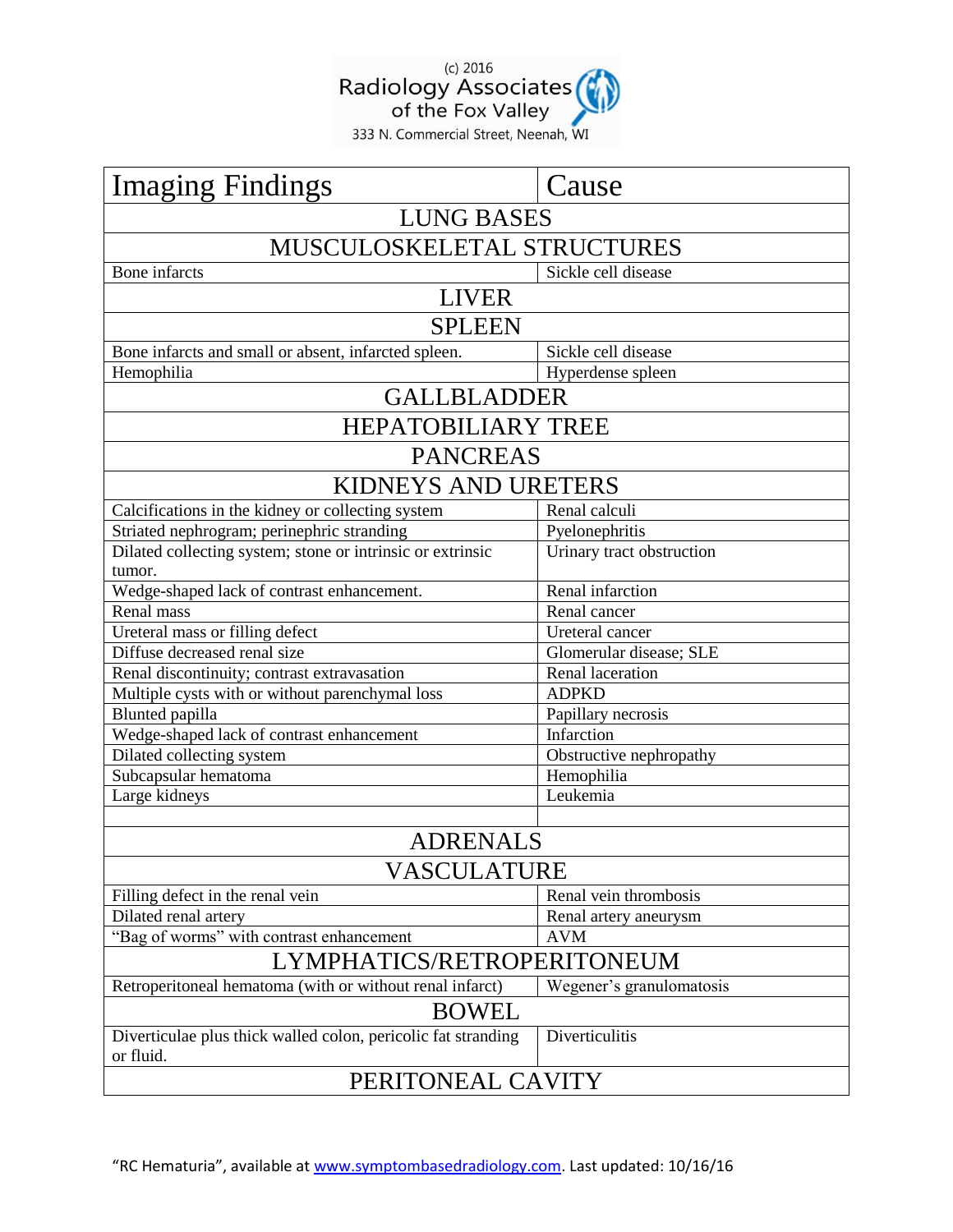

| <b>Imaging Findings</b>                                       | Cause                     |
|---------------------------------------------------------------|---------------------------|
| <b>LUNG BASES</b>                                             |                           |
| MUSCULOSKELETAL STRUCTURES                                    |                           |
| Bone infarcts                                                 | Sickle cell disease       |
| <b>LIVER</b>                                                  |                           |
| <b>SPLEEN</b>                                                 |                           |
| Bone infarcts and small or absent, infarcted spleen.          | Sickle cell disease       |
| Hemophilia                                                    | Hyperdense spleen         |
| <b>GALLBLADDER</b>                                            |                           |
| <b>HEPATOBILIARY TREE</b>                                     |                           |
| <b>PANCREAS</b>                                               |                           |
| KIDNEYS AND URETERS                                           |                           |
| Calcifications in the kidney or collecting system             | Renal calculi             |
| Striated nephrogram; perinephric stranding                    | Pyelonephritis            |
| Dilated collecting system; stone or intrinsic or extrinsic    | Urinary tract obstruction |
| tumor.                                                        |                           |
| Wedge-shaped lack of contrast enhancement.                    | <b>Renal infarction</b>   |
| Renal mass                                                    | Renal cancer              |
| Ureteral mass or filling defect                               | Ureteral cancer           |
| Diffuse decreased renal size                                  | Glomerular disease; SLE   |
| Renal discontinuity; contrast extravasation                   | Renal laceration          |
| Multiple cysts with or without parenchymal loss               | <b>ADPKD</b>              |
| <b>Blunted</b> papilla                                        | Papillary necrosis        |
| Wedge-shaped lack of contrast enhancement                     | Infarction                |
| Dilated collecting system                                     | Obstructive nephropathy   |
| Subcapsular hematoma                                          | Hemophilia                |
| Large kidneys                                                 | Leukemia                  |
|                                                               |                           |
| <b>ADRENALS</b><br>VASCULATURE                                |                           |
|                                                               |                           |
| Filling defect in the renal vein                              | Renal vein thrombosis     |
| Dilated renal artery                                          | Renal artery aneurysm     |
| "Bag of worms" with contrast enhancement                      | <b>AVM</b>                |
| LYMPHATICS/RETROPERITONEUM                                    |                           |
| Retroperitoneal hematoma (with or without renal infarct)      | Wegener's granulomatosis  |
| <b>BOWEL</b>                                                  |                           |
| Diverticulae plus thick walled colon, pericolic fat stranding | Diverticulitis            |
| or fluid.                                                     |                           |
| PERITONEAL CAVITY                                             |                           |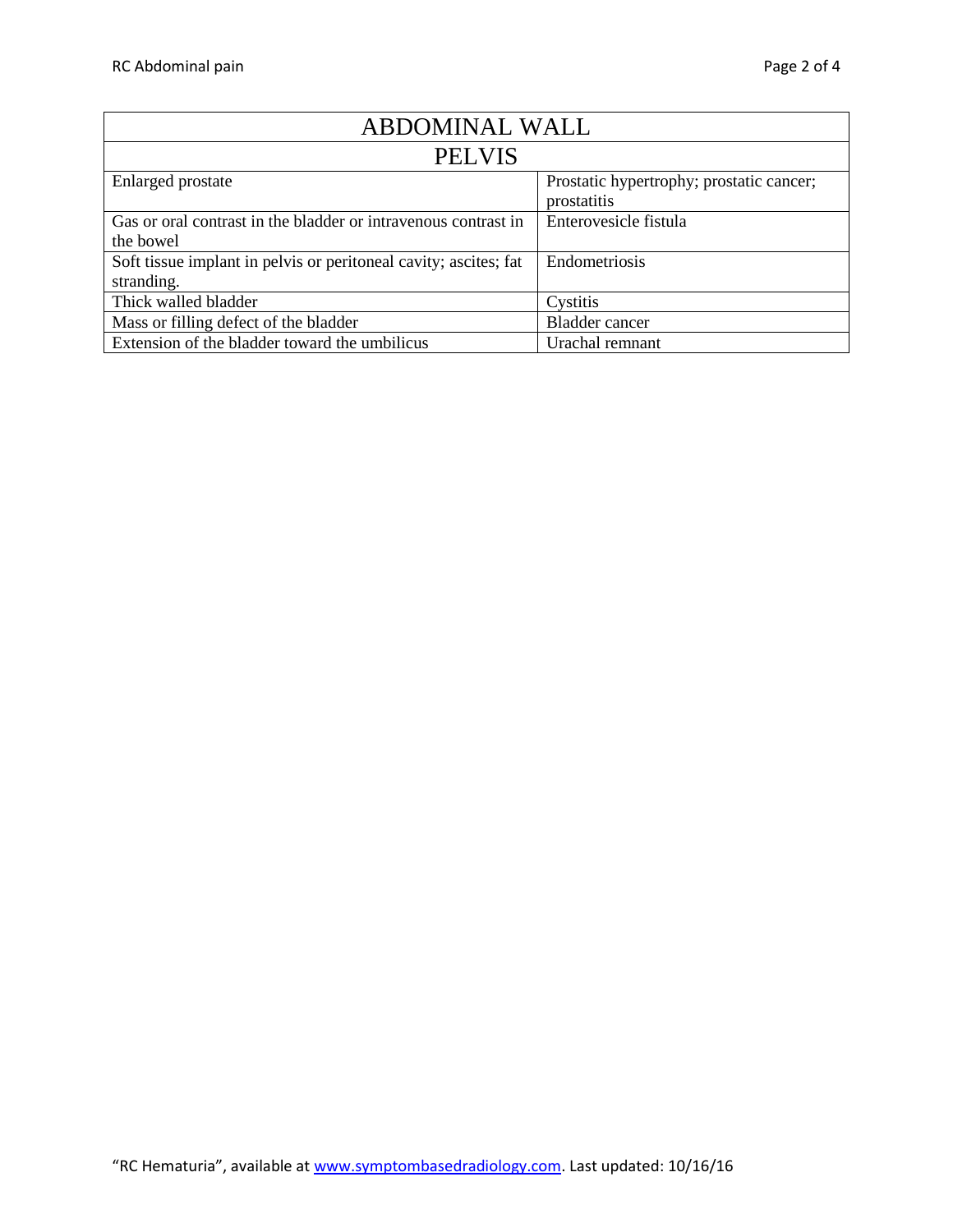| ABDOMINAL WALL                                                   |                                                         |
|------------------------------------------------------------------|---------------------------------------------------------|
| <b>PELVIS</b>                                                    |                                                         |
| Enlarged prostate                                                | Prostatic hypertrophy; prostatic cancer;<br>prostatitis |
| Gas or oral contrast in the bladder or intravenous contrast in   | Enterovesicle fistula                                   |
| the bowel                                                        |                                                         |
| Soft tissue implant in pelvis or peritoneal cavity; ascites; fat | Endometriosis                                           |
| stranding.                                                       |                                                         |
| Thick walled bladder                                             | Cystitis                                                |
| Mass or filling defect of the bladder                            | <b>Bladder</b> cancer                                   |
| Extension of the bladder toward the umbilicus                    | Urachal remnant                                         |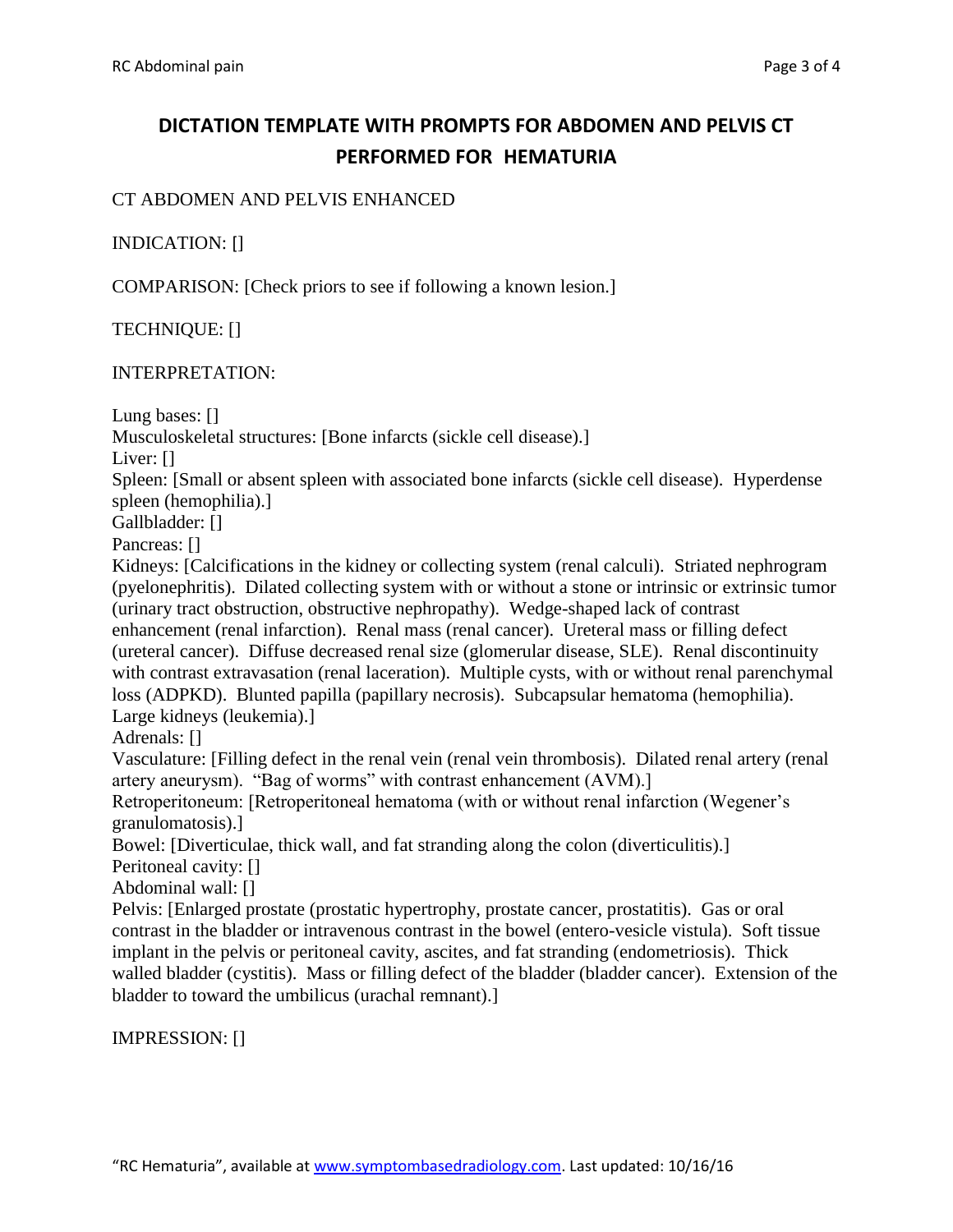# **DICTATION TEMPLATE WITH PROMPTS FOR ABDOMEN AND PELVIS CT PERFORMED FOR HEMATURIA**

### CT ABDOMEN AND PELVIS ENHANCED

## INDICATION: []

COMPARISON: [Check priors to see if following a known lesion.]

TECHNIQUE: []

#### INTERPRETATION:

Lung bases: []

Musculoskeletal structures: [Bone infarcts (sickle cell disease).]

Liver: []

Spleen: [Small or absent spleen with associated bone infarcts (sickle cell disease). Hyperdense spleen (hemophilia).]

Gallbladder: []

Pancreas: []

Kidneys: [Calcifications in the kidney or collecting system (renal calculi). Striated nephrogram (pyelonephritis). Dilated collecting system with or without a stone or intrinsic or extrinsic tumor (urinary tract obstruction, obstructive nephropathy). Wedge-shaped lack of contrast enhancement (renal infarction). Renal mass (renal cancer). Ureteral mass or filling defect (ureteral cancer). Diffuse decreased renal size (glomerular disease, SLE). Renal discontinuity with contrast extravasation (renal laceration). Multiple cysts, with or without renal parenchymal loss (ADPKD). Blunted papilla (papillary necrosis). Subcapsular hematoma (hemophilia). Large kidneys (leukemia).]

Adrenals: []

Vasculature: [Filling defect in the renal vein (renal vein thrombosis). Dilated renal artery (renal artery aneurysm). "Bag of worms" with contrast enhancement (AVM).]

Retroperitoneum: [Retroperitoneal hematoma (with or without renal infarction (Wegener's granulomatosis).]

Bowel: [Diverticulae, thick wall, and fat stranding along the colon (diverticulitis).]

Peritoneal cavity: []

Abdominal wall: []

Pelvis: [Enlarged prostate (prostatic hypertrophy, prostate cancer, prostatitis). Gas or oral contrast in the bladder or intravenous contrast in the bowel (entero-vesicle vistula). Soft tissue implant in the pelvis or peritoneal cavity, ascites, and fat stranding (endometriosis). Thick walled bladder (cystitis). Mass or filling defect of the bladder (bladder cancer). Extension of the bladder to toward the umbilicus (urachal remnant).]

IMPRESSION: []